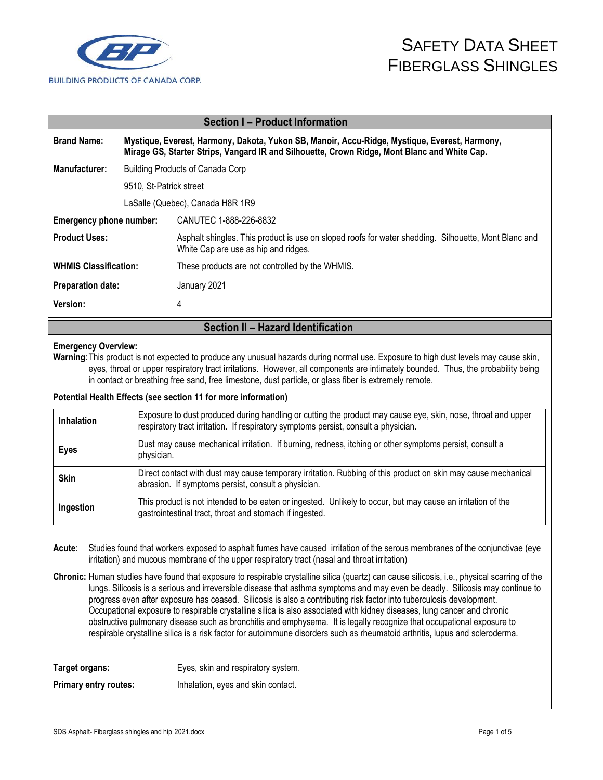

|                                                                                                                                                                                                                     | <b>Section I - Product Information</b>                                                                                                                                                                                                                                                                                                                                            |  |  |
|---------------------------------------------------------------------------------------------------------------------------------------------------------------------------------------------------------------------|-----------------------------------------------------------------------------------------------------------------------------------------------------------------------------------------------------------------------------------------------------------------------------------------------------------------------------------------------------------------------------------|--|--|
| <b>Brand Name:</b><br>Mystique, Everest, Harmony, Dakota, Yukon SB, Manoir, Accu-Ridge, Mystique, Everest, Harmony,<br>Mirage GS, Starter Strips, Vangard IR and Silhouette, Crown Ridge, Mont Blanc and White Cap. |                                                                                                                                                                                                                                                                                                                                                                                   |  |  |
| Manufacturer:                                                                                                                                                                                                       | <b>Building Products of Canada Corp</b>                                                                                                                                                                                                                                                                                                                                           |  |  |
| 9510, St-Patrick street                                                                                                                                                                                             |                                                                                                                                                                                                                                                                                                                                                                                   |  |  |
| LaSalle (Quebec), Canada H8R 1R9                                                                                                                                                                                    |                                                                                                                                                                                                                                                                                                                                                                                   |  |  |
| Emergency phone number:                                                                                                                                                                                             | CANUTEC 1-888-226-8832                                                                                                                                                                                                                                                                                                                                                            |  |  |
| <b>Product Uses:</b>                                                                                                                                                                                                | Asphalt shingles. This product is use on sloped roofs for water shedding. Silhouette, Mont Blanc and<br>White Cap are use as hip and ridges.                                                                                                                                                                                                                                      |  |  |
| <b>WHMIS Classification:</b>                                                                                                                                                                                        | These products are not controlled by the WHMIS.                                                                                                                                                                                                                                                                                                                                   |  |  |
| <b>Preparation date:</b>                                                                                                                                                                                            | January 2021                                                                                                                                                                                                                                                                                                                                                                      |  |  |
| Version:                                                                                                                                                                                                            | 4                                                                                                                                                                                                                                                                                                                                                                                 |  |  |
|                                                                                                                                                                                                                     |                                                                                                                                                                                                                                                                                                                                                                                   |  |  |
|                                                                                                                                                                                                                     | Section II - Hazard Identification                                                                                                                                                                                                                                                                                                                                                |  |  |
| <b>Emergency Overview:</b>                                                                                                                                                                                          | Warning: This product is not expected to produce any unusual hazards during normal use. Exposure to high dust levels may cause skin,<br>eyes, throat or upper respiratory tract irritations. However, all components are intimately bounded. Thus, the probability being<br>in contact or breathing free sand, free limestone, dust particle, or glass fiber is extremely remote. |  |  |
|                                                                                                                                                                                                                     | Potential Health Effects (see section 11 for more information)                                                                                                                                                                                                                                                                                                                    |  |  |
| Inhalation                                                                                                                                                                                                          | Exposure to dust produced during handling or cutting the product may cause eye, skin, nose, throat and upper<br>respiratory tract irritation. If respiratory symptoms persist, consult a physician.                                                                                                                                                                               |  |  |
| <b>Eyes</b>                                                                                                                                                                                                         | Dust may cause mechanical irritation. If burning, redness, itching or other symptoms persist, consult a<br>physician.                                                                                                                                                                                                                                                             |  |  |
| <b>Skin</b>                                                                                                                                                                                                         | Direct contact with dust may cause temporary irritation. Rubbing of this product on skin may cause mechanical<br>abrasion. If symptoms persist, consult a physician.                                                                                                                                                                                                              |  |  |

**Chronic:** Human studies have found that exposure to respirable crystalline silica (quartz) can cause silicosis, i.e., physical scarring of the lungs. Silicosis is a serious and irreversible disease that asthma symptoms and may even be deadly. Silicosis may continue to progress even after exposure has ceased. Silicosis is also a contributing risk factor into tuberculosis development. Occupational exposure to respirable crystalline silica is also associated with kidney diseases, lung cancer and chronic obstructive pulmonary disease such as bronchitis and emphysema. It is legally recognize that occupational exposure to respirable crystalline silica is a risk factor for autoimmune disorders such as rheumatoid arthritis, lupus and scleroderma.

| Target organs:               | Eyes, skin and respiratory system. |
|------------------------------|------------------------------------|
| <b>Primary entry routes:</b> | Inhalation, eyes and skin contact. |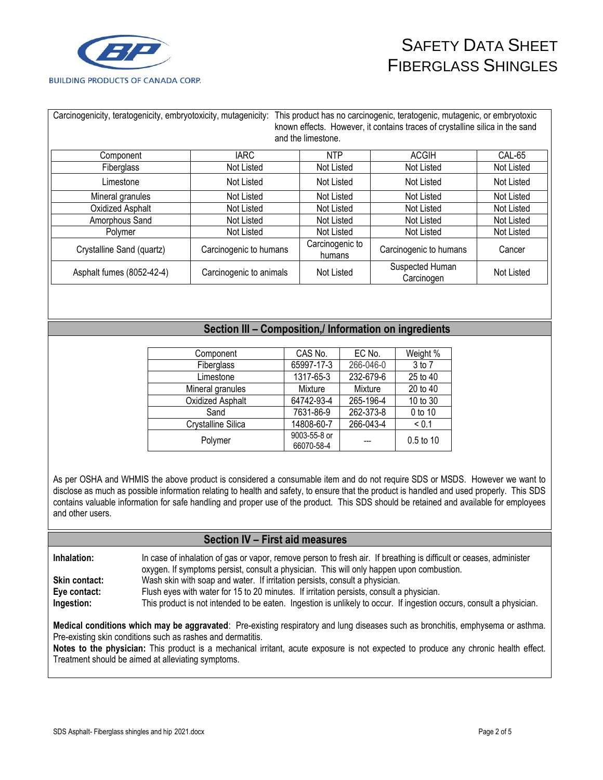

| Carcinogenicity, teratogenicity, embryotoxicity, mutagenicity: |                        | This product has no carcinogenic, teratogenic, mutagenic, or embryotoxic<br>known effects. However, it contains traces of crystalline silica in the sand<br>and the limestone. |                               |            |  |
|----------------------------------------------------------------|------------------------|--------------------------------------------------------------------------------------------------------------------------------------------------------------------------------|-------------------------------|------------|--|
| Component                                                      | <b>IARC</b>            | <b>NTP</b>                                                                                                                                                                     | <b>ACGIH</b>                  | CAL-65     |  |
| Fiberglass                                                     | Not Listed             | Not Listed                                                                                                                                                                     | Not Listed                    | Not Listed |  |
| Limestone                                                      | Not Listed             | Not Listed                                                                                                                                                                     | Not Listed                    | Not Listed |  |
| Mineral granules                                               | Not Listed             | Not Listed                                                                                                                                                                     | Not Listed                    | Not Listed |  |
| Oxidized Asphalt                                               | Not Listed             | Not Listed                                                                                                                                                                     | Not Listed                    | Not Listed |  |
| Amorphous Sand                                                 | Not Listed             | Not Listed                                                                                                                                                                     | Not Listed                    | Not Listed |  |
| Polymer                                                        | Not Listed             | Not Listed                                                                                                                                                                     | Not Listed                    | Not Listed |  |
| Crystalline Sand (quartz)                                      | Carcinogenic to humans | Carcinogenic to<br>humans                                                                                                                                                      | Carcinogenic to humans        | Cancer     |  |
| Carcinogenic to animals<br>Asphalt fumes (8052-42-4)           |                        | Not Listed                                                                                                                                                                     | Suspected Human<br>Carcinogen | Not Listed |  |

### **Section III – Composition,/ Information on ingredients**

| Component          | CAS No.                    | EC No.    | Weight %    |
|--------------------|----------------------------|-----------|-------------|
| Fiberglass         | 65997-17-3                 | 266-046-0 | 3 to 7      |
| Limestone          | 1317-65-3                  | 232-679-6 | 25 to 40    |
| Mineral granules   | Mixture                    | Mixture   | 20 to 40    |
| Oxidized Asphalt   | 64742-93-4                 | 265-196-4 | 10 to 30    |
| Sand               | 7631-86-9                  | 262-373-8 | 0 to 10     |
| Crystalline Silica | 14808-60-7                 | 266-043-4 | ${}_{0.1}$  |
| Polymer            | 9003-55-8 or<br>66070-58-4 |           | $0.5$ to 10 |

As per OSHA and WHMIS the above product is considered a consumable item and do not require SDS or MSDS. However we want to disclose as much as possible information relating to health and safety, to ensure that the product is handled and used properly. This SDS contains valuable information for safe handling and proper use of the product. This SDS should be retained and available for employees and other users.

#### **Section IV – First aid measures**

**Inhalation:** In case of inhalation of gas or vapor, remove person to fresh air. If breathing is difficult or ceases, administer oxygen. If symptoms persist, consult a physician. This will only happen upon combustion.

**Skin contact:** Wash skin with soap and water. If irritation persists, consult a physician.

**Eye contact:** Flush eyes with water for 15 to 20 minutes. If irritation persists, consult a physician.

**Ingestion:** This product is not intended to be eaten. Ingestion is unlikely to occur. If ingestion occurs, consult a physician.

**Medical conditions which may be aggravated**: Pre-existing respiratory and lung diseases such as bronchitis, emphysema or asthma. Pre-existing skin conditions such as rashes and dermatitis.

**Notes to the physician:** This product is a mechanical irritant, acute exposure is not expected to produce any chronic health effect. Treatment should be aimed at alleviating symptoms.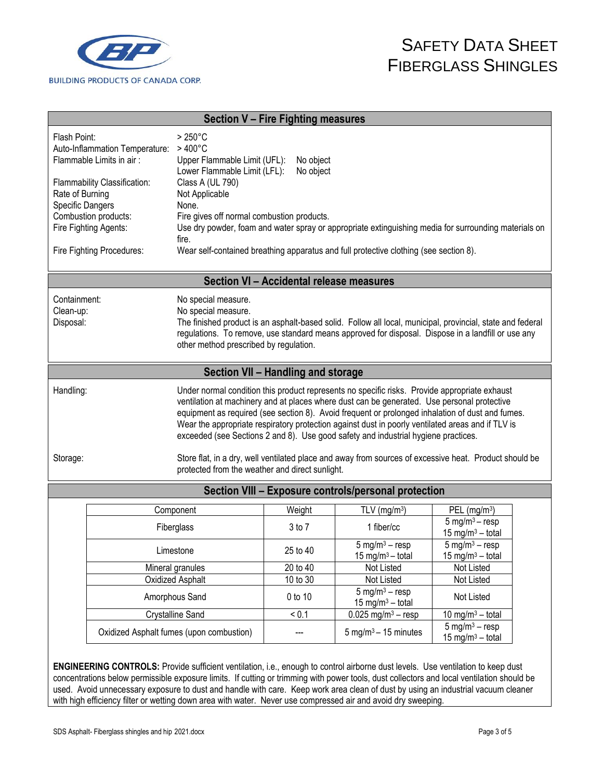

| <b>Section V - Fire Fighting measures</b>                                                                                                                                                                                                                                                                                                                                                                                                                                                                                                                                                                                      |                                                                                                                                                                                                                                                                                                                                                                                                                                                                                                                                                                                                                                                                          |                                                                                      |                                    |                                                                                                                                                                                                                  |                                                                               |  |
|--------------------------------------------------------------------------------------------------------------------------------------------------------------------------------------------------------------------------------------------------------------------------------------------------------------------------------------------------------------------------------------------------------------------------------------------------------------------------------------------------------------------------------------------------------------------------------------------------------------------------------|--------------------------------------------------------------------------------------------------------------------------------------------------------------------------------------------------------------------------------------------------------------------------------------------------------------------------------------------------------------------------------------------------------------------------------------------------------------------------------------------------------------------------------------------------------------------------------------------------------------------------------------------------------------------------|--------------------------------------------------------------------------------------|------------------------------------|------------------------------------------------------------------------------------------------------------------------------------------------------------------------------------------------------------------|-------------------------------------------------------------------------------|--|
|                                                                                                                                                                                                                                                                                                                                                                                                                                                                                                                                                                                                                                | Flash Point:<br>$>250^{\circ}$ C<br>$>400^{\circ}$ C<br>Auto-Inflammation Temperature:<br>Flammable Limits in air:<br>Upper Flammable Limit (UFL):<br>No object<br>Lower Flammable Limit (LFL):<br>No object<br>Class A (UL 790)<br>Flammability Classification:<br>Rate of Burning<br>Not Applicable<br>Specific Dangers<br>None.<br>Combustion products:<br>Fire gives off normal combustion products.<br>Fire Fighting Agents:<br>Use dry powder, foam and water spray or appropriate extinguishing media for surrounding materials on<br>fire.<br>Wear self-contained breathing apparatus and full protective clothing (see section 8).<br>Fire Fighting Procedures: |                                                                                      |                                    |                                                                                                                                                                                                                  |                                                                               |  |
|                                                                                                                                                                                                                                                                                                                                                                                                                                                                                                                                                                                                                                |                                                                                                                                                                                                                                                                                                                                                                                                                                                                                                                                                                                                                                                                          |                                                                                      |                                    | Section VI - Accidental release measures                                                                                                                                                                         |                                                                               |  |
| Containment:<br>Clean-up:<br>Disposal:                                                                                                                                                                                                                                                                                                                                                                                                                                                                                                                                                                                         |                                                                                                                                                                                                                                                                                                                                                                                                                                                                                                                                                                                                                                                                          | No special measure.<br>No special measure.<br>other method prescribed by regulation. |                                    | The finished product is an asphalt-based solid. Follow all local, municipal, provincial, state and federal<br>regulations. To remove, use standard means approved for disposal. Dispose in a landfill or use any |                                                                               |  |
|                                                                                                                                                                                                                                                                                                                                                                                                                                                                                                                                                                                                                                |                                                                                                                                                                                                                                                                                                                                                                                                                                                                                                                                                                                                                                                                          |                                                                                      | Section VII - Handling and storage |                                                                                                                                                                                                                  |                                                                               |  |
| Under normal condition this product represents no specific risks. Provide appropriate exhaust<br>Handling:<br>ventilation at machinery and at places where dust can be generated. Use personal protective<br>equipment as required (see section 8). Avoid frequent or prolonged inhalation of dust and fumes.<br>Wear the appropriate respiratory protection against dust in poorly ventilated areas and if TLV is<br>exceeded (see Sections 2 and 8). Use good safety and industrial hygiene practices.<br>Store flat, in a dry, well ventilated place and away from sources of excessive heat. Product should be<br>Storage: |                                                                                                                                                                                                                                                                                                                                                                                                                                                                                                                                                                                                                                                                          |                                                                                      |                                    |                                                                                                                                                                                                                  |                                                                               |  |
| protected from the weather and direct sunlight.                                                                                                                                                                                                                                                                                                                                                                                                                                                                                                                                                                                |                                                                                                                                                                                                                                                                                                                                                                                                                                                                                                                                                                                                                                                                          |                                                                                      |                                    |                                                                                                                                                                                                                  |                                                                               |  |
| Section VIII - Exposure controls/personal protection                                                                                                                                                                                                                                                                                                                                                                                                                                                                                                                                                                           |                                                                                                                                                                                                                                                                                                                                                                                                                                                                                                                                                                                                                                                                          |                                                                                      |                                    |                                                                                                                                                                                                                  |                                                                               |  |
|                                                                                                                                                                                                                                                                                                                                                                                                                                                                                                                                                                                                                                |                                                                                                                                                                                                                                                                                                                                                                                                                                                                                                                                                                                                                                                                          | Component<br>Fiberglass                                                              | Weight<br>3 to 7                   | TLV ( $mg/m3$ )<br>1 fiber/cc                                                                                                                                                                                    | PEL $(mg/m3)$<br>5 mg/m <sup>3</sup> $-$ resp<br>15 mg/m <sup>3</sup> - total |  |
|                                                                                                                                                                                                                                                                                                                                                                                                                                                                                                                                                                                                                                |                                                                                                                                                                                                                                                                                                                                                                                                                                                                                                                                                                                                                                                                          | Limestone                                                                            | 25 to 40                           | $5 \text{ mg/m}^3 - \text{resp}$<br>15 mg/m <sup>3</sup> - total                                                                                                                                                 | 5 mg/m <sup>3</sup> $-$ resp<br>15 mg/m <sup>3</sup> - total                  |  |
|                                                                                                                                                                                                                                                                                                                                                                                                                                                                                                                                                                                                                                |                                                                                                                                                                                                                                                                                                                                                                                                                                                                                                                                                                                                                                                                          | Mineral granules                                                                     | 20 to 40                           | Not Listed                                                                                                                                                                                                       | Not Listed                                                                    |  |
|                                                                                                                                                                                                                                                                                                                                                                                                                                                                                                                                                                                                                                | Oxidized Asphalt                                                                                                                                                                                                                                                                                                                                                                                                                                                                                                                                                                                                                                                         |                                                                                      | 10 to 30                           | Not Listed<br>$5 \text{ mg/m}^3 - \text{resp}$                                                                                                                                                                   | Not Listed                                                                    |  |
|                                                                                                                                                                                                                                                                                                                                                                                                                                                                                                                                                                                                                                |                                                                                                                                                                                                                                                                                                                                                                                                                                                                                                                                                                                                                                                                          | Amorphous Sand                                                                       | 0 to 10                            | 15 mg/m <sup>3</sup> – total                                                                                                                                                                                     | Not Listed                                                                    |  |
|                                                                                                                                                                                                                                                                                                                                                                                                                                                                                                                                                                                                                                |                                                                                                                                                                                                                                                                                                                                                                                                                                                                                                                                                                                                                                                                          | <b>Crystalline Sand</b>                                                              | < 0.1                              | $\overline{0.0}$ 25 mg/m <sup>3</sup> – resp                                                                                                                                                                     | 10 mg/m <sup>3</sup> - total                                                  |  |
|                                                                                                                                                                                                                                                                                                                                                                                                                                                                                                                                                                                                                                |                                                                                                                                                                                                                                                                                                                                                                                                                                                                                                                                                                                                                                                                          | Oxidized Asphalt fumes (upon combustion)                                             | ---                                | $5 \text{ mg/m}^3 - 15 \text{ minutes}$                                                                                                                                                                          | $5 \text{ mg/m}^3 - \text{resp}$<br>15 mg/m <sup>3</sup> - total              |  |

**ENGINEERING CONTROLS:** Provide sufficient ventilation, i.e., enough to control airborne dust levels. Use ventilation to keep dust concentrations below permissible exposure limits. If cutting or trimming with power tools, dust collectors and local ventilation should be used. Avoid unnecessary exposure to dust and handle with care. Keep work area clean of dust by using an industrial vacuum cleaner with high efficiency filter or wetting down area with water. Never use compressed air and avoid dry sweeping.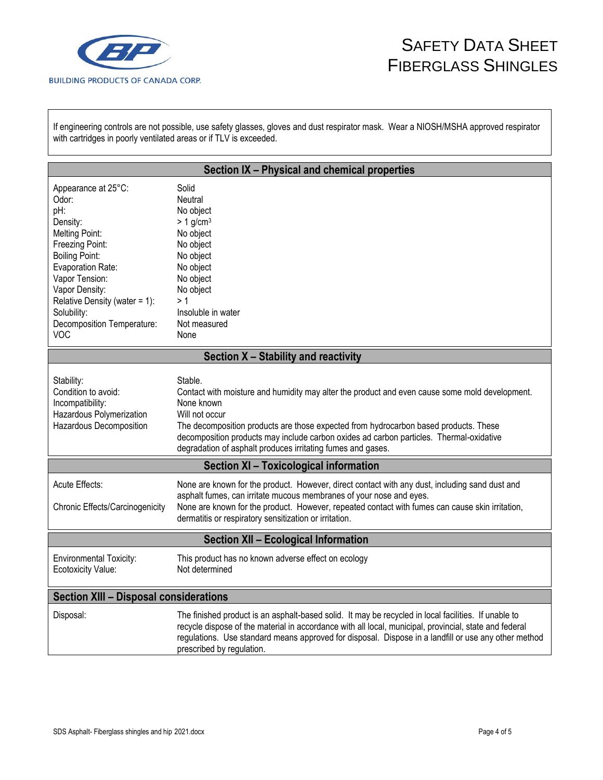

If engineering controls are not possible, use safety glasses, gloves and dust respirator mask. Wear a NIOSH/MSHA approved respirator with cartridges in poorly ventilated areas or if TLV is exceeded.

| Section IX - Physical and chemical properties                                                                                                                                                                                                                      |                                                                                                                                                                                                                                                                                                                                                                                             |  |  |
|--------------------------------------------------------------------------------------------------------------------------------------------------------------------------------------------------------------------------------------------------------------------|---------------------------------------------------------------------------------------------------------------------------------------------------------------------------------------------------------------------------------------------------------------------------------------------------------------------------------------------------------------------------------------------|--|--|
| Appearance at 25°C:<br>Odor:<br>pH:<br>Density:<br><b>Melting Point:</b><br>Freezing Point:<br><b>Boiling Point:</b><br>Evaporation Rate:<br>Vapor Tension:<br>Vapor Density:<br>Relative Density (water = 1):<br>Solubility:<br>Decomposition Temperature:<br>VOC | Solid<br>Neutral<br>No object<br>$> 1$ g/cm <sup>3</sup><br>No object<br>No object<br>No object<br>No object<br>No object<br>No object<br>>1<br>Insoluble in water<br>Not measured<br>None                                                                                                                                                                                                  |  |  |
|                                                                                                                                                                                                                                                                    | Section X - Stability and reactivity                                                                                                                                                                                                                                                                                                                                                        |  |  |
| Stability:<br>Condition to avoid:<br>Incompatibility:<br>Hazardous Polymerization<br>Hazardous Decomposition                                                                                                                                                       | Stable.<br>Contact with moisture and humidity may alter the product and even cause some mold development.<br>None known<br>Will not occur<br>The decomposition products are those expected from hydrocarbon based products. These<br>decomposition products may include carbon oxides ad carbon particles. Thermal-oxidative<br>degradation of asphalt produces irritating fumes and gases. |  |  |
| Section XI - Toxicological information                                                                                                                                                                                                                             |                                                                                                                                                                                                                                                                                                                                                                                             |  |  |
| Acute Effects:<br>Chronic Effects/Carcinogenicity                                                                                                                                                                                                                  | None are known for the product. However, direct contact with any dust, including sand dust and<br>asphalt fumes, can irritate mucous membranes of your nose and eyes.<br>None are known for the product. However, repeated contact with fumes can cause skin irritation,<br>dermatitis or respiratory sensitization or irritation.                                                          |  |  |
| <b>Section XII - Ecological Information</b>                                                                                                                                                                                                                        |                                                                                                                                                                                                                                                                                                                                                                                             |  |  |
| <b>Environmental Toxicity:</b><br>Ecotoxicity Value:                                                                                                                                                                                                               | This product has no known adverse effect on ecology<br>Not determined                                                                                                                                                                                                                                                                                                                       |  |  |
| <b>Section XIII - Disposal considerations</b>                                                                                                                                                                                                                      |                                                                                                                                                                                                                                                                                                                                                                                             |  |  |
| Disposal:                                                                                                                                                                                                                                                          | The finished product is an asphalt-based solid. It may be recycled in local facilities. If unable to<br>recycle dispose of the material in accordance with all local, municipal, provincial, state and federal<br>regulations. Use standard means approved for disposal. Dispose in a landfill or use any other method<br>prescribed by regulation.                                         |  |  |